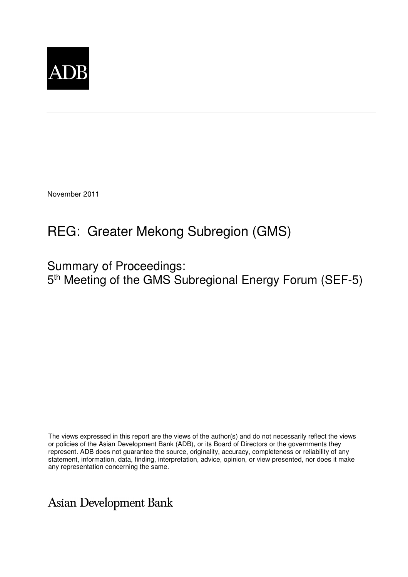

November 2011

# REG: Greater Mekong Subregion (GMS)

Summary of Proceedings: 5<sup>th</sup> Meeting of the GMS Subregional Energy Forum (SEF-5)

The views expressed in this report are the views of the author(s) and do not necessarily reflect the views or policies of the Asian Development Bank (ADB), or its Board of Directors or the governments they represent. ADB does not guarantee the source, originality, accuracy, completeness or reliability of any statement, information, data, finding, interpretation, advice, opinion, or view presented, nor does it make any representation concerning the same.

**Asian Development Bank**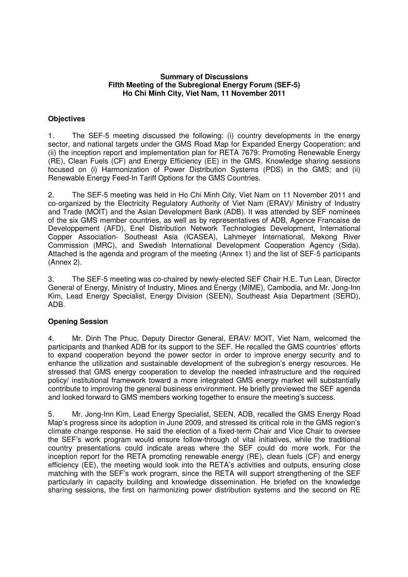## **Summary of Discussions Fifth Meeting of the Subregional Energy Forum (SEF-5) Ho Chi Minh City, Viet Nam, 11 November 2011**

# **Objectives**

1. The SEF-5 meeting discussed the following: (i) country developments in the energy sector, and national targets under the GMS Road Map for Expanded Energy Cooperation; and (ii) the inception report and implementation plan for RETA 7679: Promoting Renewable Energy (RE), Clean Fuels (CF) and Energy Efficiency (EE) in the GMS. Knowledge sharing sessions focused on (i) Harmonization of Power Distribution Systems (PDS) in the GMS; and (ii) Renewable Energy Feed-In Tariff Options for the GMS Countries.

2. The SEF-5 meeting was held in Ho Chi Minh City, Viet Nam on 11 November 2011 and co-organized by the Electricity Regulatory Authority of Viet Nam (ERAV)/ Ministry of Industry and Trade (MOIT) and the Asian Development Bank (ADB). It was attended by SEF nominees of the six GMS member countries, as well as by representatives of ADB, Agence Francaise de Developpement (AFD), Enel Distribution Network Technologies Development, International Copper Association- Southeast Asia (ICASEA), Lahmeyer International, Mekong River Commission (MRC), and Swedish International Development Cooperation Agency (Sida). Attached is the agenda and program of the meeting (Annex 1) and the list of SEF-5 participants (Annex 2).

3. The SEF-5 meeting was co-chaired by newly-elected SEF Chair H.E. Tun Lean, Director General of Energy, Ministry of Industry, Mines and Energy (MIME), Cambodia, and Mr. Jong-Inn Kim, Lead Energy Specialist, Energy Division (SEEN), Southeast Asia Department (SERD), ADB.

# **Opening Session**

4. Mr. Dinh The Phuc, Deputy Director General, ERAV/ MOIT, Viet Nam, welcomed the participants and thanked ADB for its support to the SEF. He recalled the GMS countries' efforts to expand cooperation beyond the power sector in order to improve energy security and to enhance the utilization and sustainable development of the subregion's energy resources. He stressed that GMS energy cooperation to develop the needed infrastructure and the required policy/ institutional framework toward a more integrated GMS energy market will substantially contribute to improving the general business environment. He briefly previewed the SEF agenda and looked forward to GMS members working together to ensure the meeting's success.

5. Mr. Jong-Inn Kim, Lead Energy Specialist, SEEN, ADB, recalled the GMS Energy Road Map's progress since its adoption in June 2009, and stressed its critical role in the GMS region's climate change response. He said the election of a fixed-term Chair and Vice Chair to oversee the SEF's work program would ensure follow-through of vital initiatives, while the traditional country presentations could indicate areas where the SEF could do more work. For the inception report for the RETA promoting renewable energy (RE), clean fuels (CF) and energy efficiency (EE), the meeting would look into the RETA's activities and outputs, ensuring close matching with the SEF's work program, since the RETA will support strengthening of the SEF particularly in capacity building and knowledge dissemination. He briefed on the knowledge sharing sessions, the first on harmonizing power distribution systems and the second on RE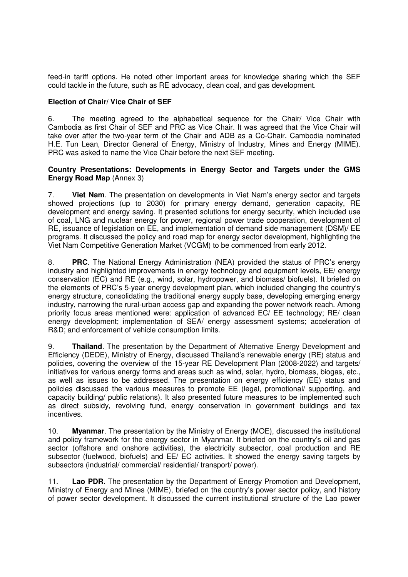feed-in tariff options. He noted other important areas for knowledge sharing which the SEF could tackle in the future, such as RE advocacy, clean coal, and gas development.

## **Election of Chair/ Vice Chair of SEF**

6. The meeting agreed to the alphabetical sequence for the Chair/ Vice Chair with Cambodia as first Chair of SEF and PRC as Vice Chair. It was agreed that the Vice Chair will take over after the two-year term of the Chair and ADB as a Co-Chair. Cambodia nominated H.E. Tun Lean, Director General of Energy, Ministry of Industry, Mines and Energy (MIME). PRC was asked to name the Vice Chair before the next SEF meeting.

#### **Country Presentations: Developments in Energy Sector and Targets under the GMS Energy Road Map** (Annex 3)

7. **Viet Nam**. The presentation on developments in Viet Nam's energy sector and targets showed projections (up to 2030) for primary energy demand, generation capacity, RE development and energy saving. It presented solutions for energy security, which included use of coal, LNG and nuclear energy for power, regional power trade cooperation, development of RE, issuance of legislation on EE, and implementation of demand side management (DSM)/ EE programs. It discussed the policy and road map for energy sector development, highlighting the Viet Nam Competitive Generation Market (VCGM) to be commenced from early 2012.

8. **PRC**. The National Energy Administration (NEA) provided the status of PRC's energy industry and highlighted improvements in energy technology and equipment levels, EE/ energy conservation (EC) and RE (e.g., wind, solar, hydropower, and biomass/ biofuels). It briefed on the elements of PRC's 5-year energy development plan, which included changing the country's energy structure, consolidating the traditional energy supply base, developing emerging energy industry, narrowing the rural-urban access gap and expanding the power network reach. Among priority focus areas mentioned were: application of advanced EC/ EE technology; RE/ clean energy development; implementation of SEA/ energy assessment systems; acceleration of R&D; and enforcement of vehicle consumption limits.

9. **Thailand**. The presentation by the Department of Alternative Energy Development and Efficiency (DEDE), Ministry of Energy, discussed Thailand's renewable energy (RE) status and policies, covering the overview of the 15-year RE Development Plan (2008-2022) and targets/ initiatives for various energy forms and areas such as wind, solar, hydro, biomass, biogas, etc., as well as issues to be addressed. The presentation on energy efficiency (EE) status and policies discussed the various measures to promote EE (legal, promotional/ supporting, and capacity building/ public relations). It also presented future measures to be implemented such as direct subsidy, revolving fund, energy conservation in government buildings and tax incentives.

10. **Myanmar**. The presentation by the Ministry of Energy (MOE), discussed the institutional and policy framework for the energy sector in Myanmar. It briefed on the country's oil and gas sector (offshore and onshore activities), the electricity subsector, coal production and RE subsector (fuelwood, biofuels) and EE/ EC activities. It showed the energy saving targets by subsectors (industrial/ commercial/ residential/ transport/ power).

11. **Lao PDR**. The presentation by the Department of Energy Promotion and Development, Ministry of Energy and Mines (MIME), briefed on the country's power sector policy, and history of power sector development. It discussed the current institutional structure of the Lao power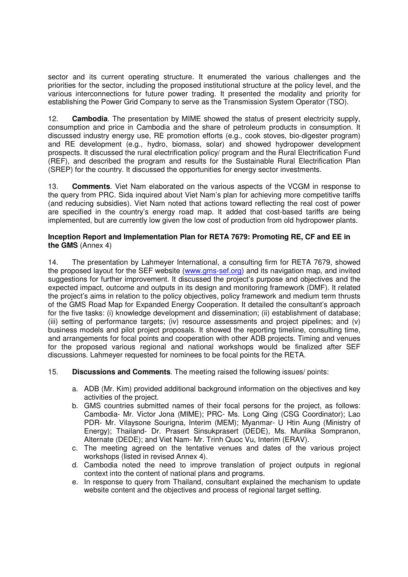sector and its current operating structure. It enumerated the various challenges and the priorities for the sector, including the proposed institutional structure at the policy level, and the various interconnections for future power trading. It presented the modality and priority for establishing the Power Grid Company to serve as the Transmission System Operator (TSO).

12. **Cambodia**. The presentation by MIME showed the status of present electricity supply, consumption and price in Cambodia and the share of petroleum products in consumption. It discussed industry energy use, RE promotion efforts (e.g., cook stoves, bio-digester program) and RE development (e.g., hydro, biomass, solar) and showed hydropower development prospects. It discussed the rural electrification policy/ program and the Rural Electrification Fund (REF), and described the program and results for the Sustainable Rural Electrification Plan (SREP) for the country. It discussed the opportunities for energy sector investments.

13. **Comments**. Viet Nam elaborated on the various aspects of the VCGM in response to the query from PRC. Sida inquired about Viet Nam's plan for achieving more competitive tariffs (and reducing subsidies). Viet Nam noted that actions toward reflecting the real cost of power are specified in the country's energy road map. It added that cost-based tariffs are being implemented, but are currently low given the low cost of production from old hydropower plants.

# **Inception Report and Implementation Plan for RETA 7679: Promoting RE, CF and EE in the GMS** (Annex 4)

14. The presentation by Lahmeyer International, a consulting firm for RETA 7679, showed the proposed layout for the SEF website (www.gms-sef.org) and its navigation map, and invited suggestions for further improvement. It discussed the project's purpose and objectives and the expected impact, outcome and outputs in its design and monitoring framework (DMF). It related the project's aims in relation to the policy objectives, policy framework and medium term thrusts of the GMS Road Map for Expanded Energy Cooperation. It detailed the consultant's approach for the five tasks: (i) knowledge development and dissemination; (ii) establishment of database; (iii) setting of performance targets; (iv) resource assessments and project pipelines; and (v) business models and pilot project proposals. It showed the reporting timeline, consulting time, and arrangements for focal points and cooperation with other ADB projects. Timing and venues for the proposed various regional and national workshops would be finalized after SEF discussions. Lahmeyer requested for nominees to be focal points for the RETA.

# 15. **Discussions and Comments**. The meeting raised the following issues/ points:

- a. ADB (Mr. Kim) provided additional background information on the objectives and key activities of the project.
- b. GMS countries submitted names of their focal persons for the project, as follows: Cambodia- Mr. Victor Jona (MIME); PRC- Ms. Long Qing (CSG Coordinator); Lao PDR- Mr. Vilaysone Sourigna, Interim (MEM); Myanmar- U Htin Aung (Ministry of Energy); Thailand- Dr. Prasert Sinsukprasert (DEDE), Ms. Munlika Sompranon, Alternate (DEDE); and Viet Nam- Mr. Trinh Quoc Vu, Interim (ERAV).
- c. The meeting agreed on the tentative venues and dates of the various project workshops (listed in revised Annex 4).
- d. Cambodia noted the need to improve translation of project outputs in regional context into the content of national plans and programs.
- e. In response to query from Thailand, consultant explained the mechanism to update website content and the objectives and process of regional target setting.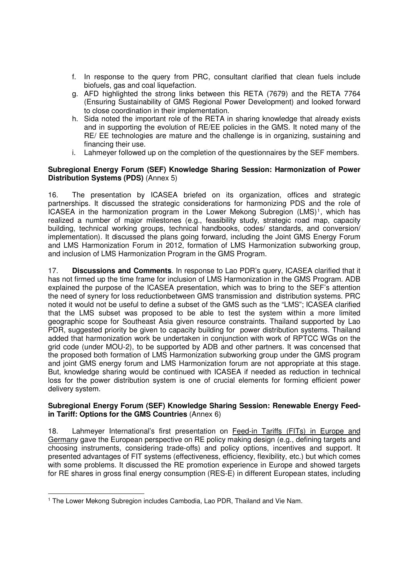- f. In response to the query from PRC, consultant clarified that clean fuels include biofuels, gas and coal liquefaction.
- g. AFD highlighted the strong links between this RETA (7679) and the RETA 7764 (Ensuring Sustainability of GMS Regional Power Development) and looked forward to close coordination in their implementation.
- h. Sida noted the important role of the RETA in sharing knowledge that already exists and in supporting the evolution of RE/EE policies in the GMS. It noted many of the RE/ EE technologies are mature and the challenge is in organizing, sustaining and financing their use.
- i. Lahmeyer followed up on the completion of the questionnaires by the SEF members.

### **Subregional Energy Forum (SEF) Knowledge Sharing Session: Harmonization of Power Distribution Systems (PDS)** (Annex 5)

16. The presentation by ICASEA briefed on its organization, offices and strategic partnerships. It discussed the strategic considerations for harmonizing PDS and the role of ICASEA in the harmonization program in the Lower Mekong Subregion (LMS)<sup>1</sup>, which has realized a number of major milestones (e.g., feasibility study, strategic road map, capacity building, technical working groups, technical handbooks, codes/ standards, and conversion/ implementation). It discussed the plans going forward, including the Joint GMS Energy Forum and LMS Harmonization Forum in 2012, formation of LMS Harmonization subworking group, and inclusion of LMS Harmonization Program in the GMS Program.

17. **Discussions and Comments**. In response to Lao PDR's query, ICASEA clarified that it has not firmed up the time frame for inclusion of LMS Harmonization in the GMS Program. ADB explained the purpose of the ICASEA presentation, which was to bring to the SEF's attention the need of synery for loss reductionbetween GMS transmission and distribution systems. PRC noted it would not be useful to define a subset of the GMS such as the "LMS"; ICASEA clarified that the LMS subset was proposed to be able to test the system within a more limited geographic scope for Southeast Asia given resource constraints. Thailand supported by Lao PDR, suggested priority be given to capacity building for power distribution systems. Thailand added that harmonization work be undertaken in conjunction with work of RPTCC WGs on the grid code (under MOU-2), to be supported by ADB and other partners. It was concensed that the proposed both formation of LMS Harmonization subworking group under the GMS program and joint GMS energy forum and LMS Harmonization forum are not appropriate at this stage. But, knowledge sharing would be continued with ICASEA if needed as reduction in technical loss for the power distribution system is one of crucial elements for forming efficient power delivery system.

#### **Subregional Energy Forum (SEF) Knowledge Sharing Session: Renewable Energy Feedin Tariff: Options for the GMS Countries** (Annex 6)

18. Lahmeyer International's first presentation on Feed-in Tariffs (FITs) in Europe and Germany gave the European perspective on RE policy making design (e.g., defining targets and choosing instruments, considering trade-offs) and policy options, incentives and support. It presented advantages of FIT systems (effectiveness, efficiency, flexibility, etc.) but which comes with some problems. It discussed the RE promotion experience in Europe and showed targets for RE shares in gross final energy consumption (RES-E) in different European states, including

 1 The Lower Mekong Subregion includes Cambodia, Lao PDR, Thailand and Vie Nam.